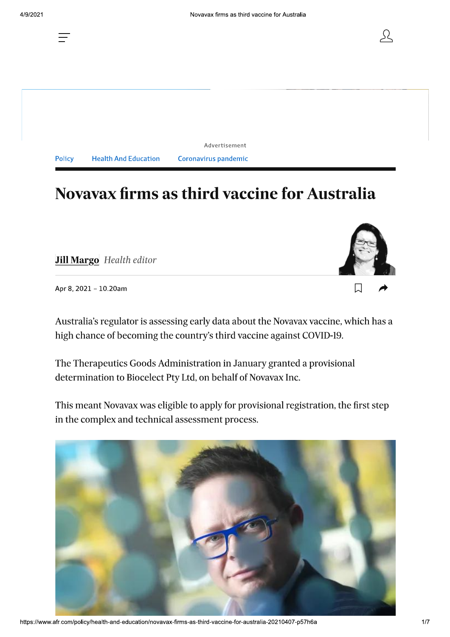囗

**Policy Health And Education**  Coronavirus pandemic

Advertisement

# **Novavax firms as third vaccine for Australia**

**Jill Margo** Health editor

Apr 8, 2021 - 10.20am

Australia's regulator is assessing early data about the Novavax vaccine, which has a high chance of becoming the country's third vaccine against COVID-19.

The Therapeutics Goods Administration in January granted a provisional determination to Biocelect Pty Ltd, on behalf of Novavax Inc.

This meant Novavax was eligible to apply for provisional registration, the first step in the complex and technical assessment process.



https://www.afr.com/policy/health-and-education/novavax-firms-as-third-vaccine-for-australia-20210407-p57h6a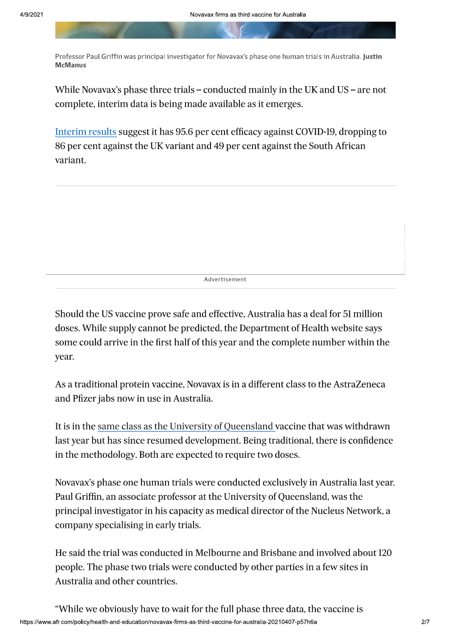Professor Paul Griffin was principal investigator for Novavax's phase one human trials in Australia. Justin **McManus** 

While Novavax's phase three trials – conducted mainly in the UK and US – are not complete, interim data is being made available as it emerges.

Interim results suggest it has 95.6 per cent efficacy against COVID-19, dropping to 86 per cent against the UK variant and 49 per cent against the South African variant.

Advertisement

Should the US vaccine prove safe and effective, Australia has a deal for 51 million doses. While supply cannot be predicted, the Department of Health website says some could arrive in the first half of this year and the complete number within the year.

As a traditional protein vaccine, Novavax is in a different class to the AstraZeneca and Pfizer jabs now in use in Australia.

It is in the same class as the University of Queensland vaccine that was withdrawn last year but has since resumed development. Being traditional, there is confidence in the methodology. Both are expected to require two doses.

Novavax's phase one human trials were conducted exclusively in Australia last year. Paul Griffin, an associate professor at the University of Queensland, was the principal investigator in his capacity as medical director of the Nucleus Network, a company specialising in early trials.

He said the trial was conducted in Melbourne and Brisbane and involved about 120 people. The phase two trials were conducted by other parties in a few sites in Australia and other countries.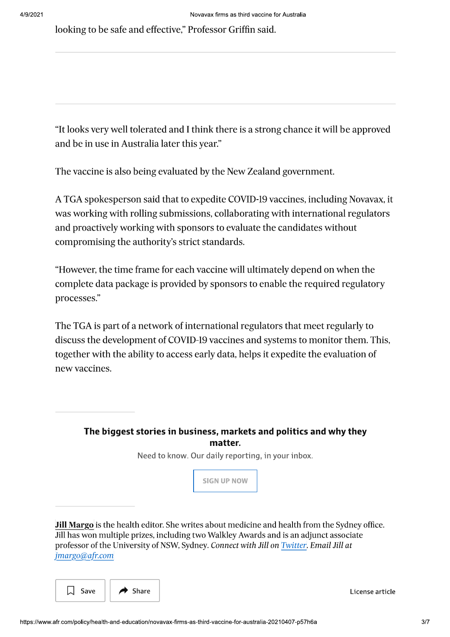looking to be safe and effective," Professor Griffin said.

"It looks very well tolerated and I think there is a strong chance it will be approved and be in use in Australia later this year."

The vaccine is also being evaluated by the New Zealand government.

A TGA spokesperson said that to expedite COVID-19 vaccines, including Novavax, it was working with rolling submissions, collaborating with international regulators and proactively working with sponsors to evaluate the candidates without compromising the authority's strict standards.

"However, the time frame for each vaccine will ultimately depend on when the complete data package is provided by sponsors to enable the required regulatory processes."

The TGA is part of a network of international regulators that meet regularly to discuss the development of COVID-19 vaccines and systems to monitor them. This, together with the ability to access early data, helps it expedite the evaluation of new vaccines.

The biggest stories in business, markets and politics and why they matter.

Need to know. Our daily reporting, in your inbox.



**Jill Margo** is the health editor. She writes about medicine and health from the Sydney office. Jill has won multiple prizes, including two Walkley Awards and is an adjunct associate professor of the University of NSW, Sydney. Connect with Jill on Twitter. Email Jill at jmargo@afr.com



License article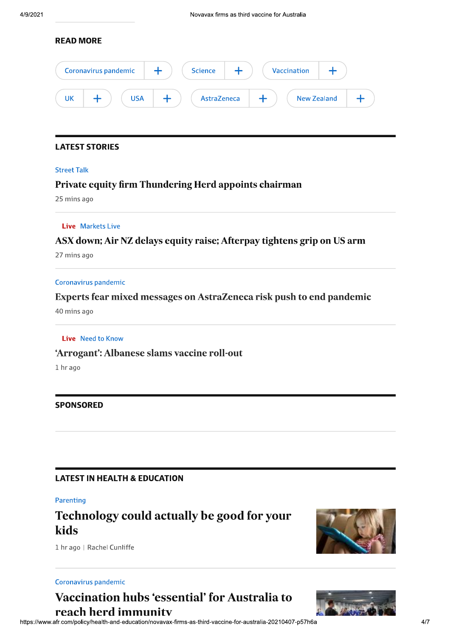### **READ MORE**

|    | Coronavirus pandemic |            | <b>Science</b> | <b>Vaccination</b> |                    |  |
|----|----------------------|------------|----------------|--------------------|--------------------|--|
| UK |                      | <b>USA</b> | AstraZeneca    |                    | <b>New Zealand</b> |  |

### **LATEST STORIES**

#### **Street Talk**

### Private equity firm Thundering Herd appoints chairman

25 mins ago

### **Live** Markets Live

### ASX down; Air NZ delays equity raise; Afterpay tightens grip on US arm

27 mins ago

#### Coronavirus pandemic

### Experts fear mixed messages on AstraZeneca risk push to end pandemic

40 mins ago

#### Live Need to Know

### 'Arrogant': Albanese slams vaccine roll-out

1 hr ago

### **SPONSORED**

### **LATEST IN HEALTH & EDUCATION**

#### Parenting

### Technology could actually be good for your kids



1 hr ago | Rachel Cunliffe

#### Coronavirus pandemic

# **Vaccination hubs 'essential' for Australia to** reach herd immunity

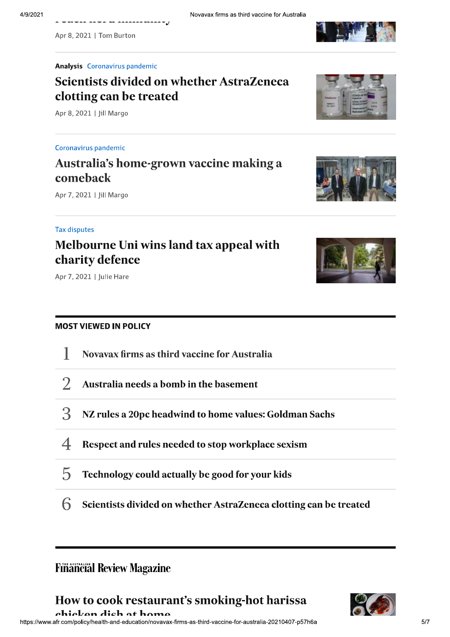

#### **Analysis Coronavirus pandemic**

a wuxuu aawa uraaaaaaaaaaaay

# **Scientists divided on whether AstraZeneca** clotting can be treated

Apr 8, 2021 | Jill Margo

### Coronavirus pandemic

# Australia's home-grown vaccine making a comeback

Apr 7, 2021 | Jill Margo

### **Tax disputes**

### Melbourne Uni wins land tax appeal with charity defence



### **MOST VIEWED IN POLICY**

- Novavax firms as third vaccine for Australia J.
- $\overline{2}$ Australia needs a bomb in the basement
- 3 NZ rules a 20pc headwind to home values: Goldman Sachs
- $\overline{\mathcal{A}}$ Respect and rules needed to stop workplace sexism
- $\overline{5}$ Technology could actually be good for your kids
- 6 Scientists divided on whether AstraZeneca clotting can be treated

### **Finâncial Review Magazine**

How to cook restaurant's smoking-hot harissa













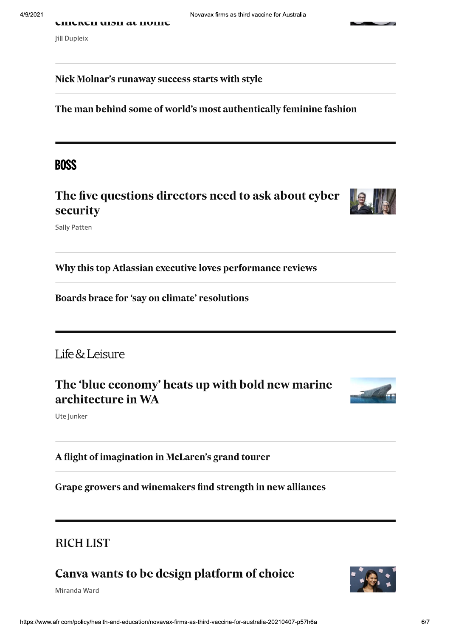### Nick Molnar's runaway success starts with style

The man behind some of world's most authentically feminine fashion

Novavax firms as third vaccine for Australia

### **BOSS**

The five questions directors need to ask about cyber security



**Sally Patten** 

Why this top Atlassian executive loves performance reviews

Boards brace for 'say on climate' resolutions

### Life & Leisure

The 'blue economy' heats up with bold new marine architecture in WA



Ute Junker

A flight of imagination in McLaren's grand tourer

Grape growers and winemakers find strength in new alliances

# **RICH LIST**

# Canva wants to be design platform of choice

Miranda Ward